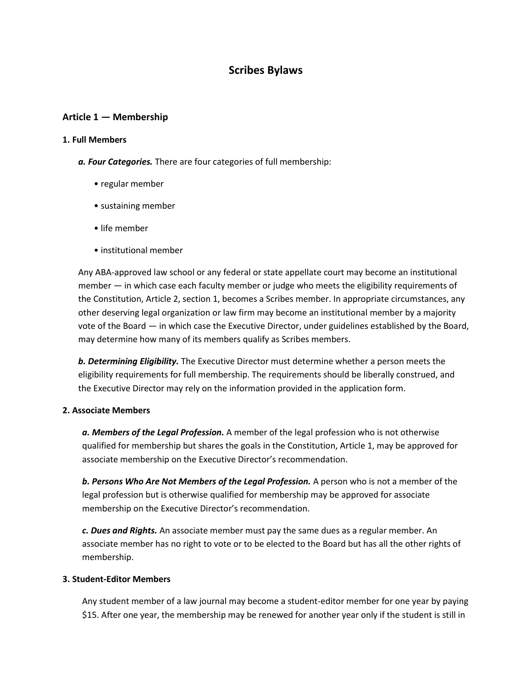# **Scribes Bylaws**

### **Article 1 — Membership**

#### **1. Full Members**

- *a. Four Categories.* There are four categories of full membership:
	- regular member
	- sustaining member
	- life member
	- institutional member

Any ABA-approved law school or any federal or state appellate court may become an institutional member — in which case each faculty member or judge who meets the eligibility requirements of the Constitution, Article 2, section 1, becomes a Scribes member. In appropriate circumstances, any other deserving legal organization or law firm may become an institutional member by a majority vote of the Board — in which case the Executive Director, under guidelines established by the Board, may determine how many of its members qualify as Scribes members.

*b. Determining Eligibility.* The Executive Director must determine whether a person meets the eligibility requirements for full membership. The requirements should be liberally construed, and the Executive Director may rely on the information provided in the application form.

#### **2. Associate Members**

*a. Members of the Legal Profession.* A member of the legal profession who is not otherwise qualified for membership but shares the goals in the Constitution, Article 1, may be approved for associate membership on the Executive Director's recommendation.

*b. Persons Who Are Not Members of the Legal Profession.* A person who is not a member of the legal profession but is otherwise qualified for membership may be approved for associate membership on the Executive Director's recommendation.

*c. Dues and Rights.* An associate member must pay the same dues as a regular member. An associate member has no right to vote or to be elected to the Board but has all the other rights of membership.

#### **3. Student-Editor Members**

Any student member of a law journal may become a student-editor member for one year by paying \$15. After one year, the membership may be renewed for another year only if the student is still in